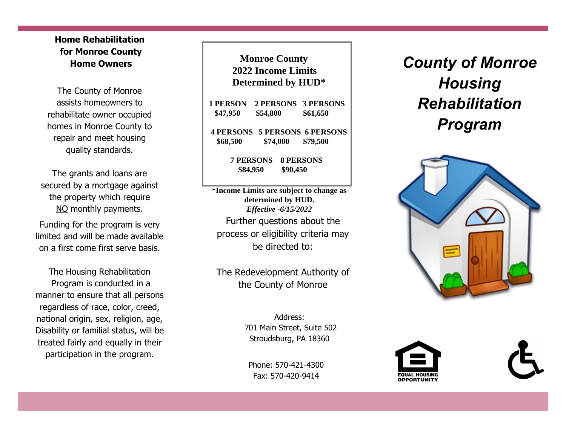## **Home Rehabilitation for Monroe County Home Owners**

The County of Monroe assists homeowners to rehabilitate owner occupied homes in Monroe County to repair and meet housing quality standards.

The grants and loans are secured by a mortgage against the property which require NO monthly payments.

Funding for the program is very limited and will be made available on a first come first serve basis.

The Housing Rehabilitation Program is conducted in a manner to ensure that all persons regardless of race, color, creed, national origin, sex, religion, age, Disability or familial status, will be treated fairly and equally in their participation in the program.

**2019 Income Limits Monroe County 2022 Income Limits 1 Determined by HUD\*** 

| <b>1 PERSON</b><br>\$47,950 | \$54,800                     |          | 2 PERSONS 3 PERSONS<br>\$61,650                  |  |
|-----------------------------|------------------------------|----------|--------------------------------------------------|--|
| \$68,500                    |                              | \$74,000 | <b>4 PERSONS 5 PERSONS 6 PERSONS</b><br>\$79,500 |  |
|                             | <b>7 PERSONS</b><br>\$84,950 |          | <b>8 PERSONS</b><br>\$90,450                     |  |

Further questions about the process or eligibility criteria may be directed to: *Effective -6/28/2019* **\*Income Limits are subject to change as determined by HUD.**  *Effective -6/15/2022*

The Redevelopment Authority of the County of Monroe

> Address: 701 Main Street, Suite 502 Stroudsburg, PA 18360

Phone: 570-421-4300 Fax: 570-420-9414

*County of Monroe Housing Rehabilitation Program*